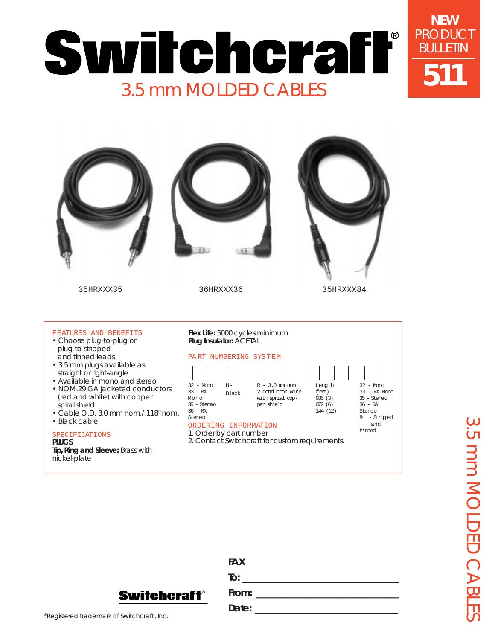



| <b>FAX</b>        |
|-------------------|
| $\overline{I}$ o: |
| From:             |
| Date:             |
|                   |

®Registered trademark of Switchcraft, Inc.

**Switchcraft®**